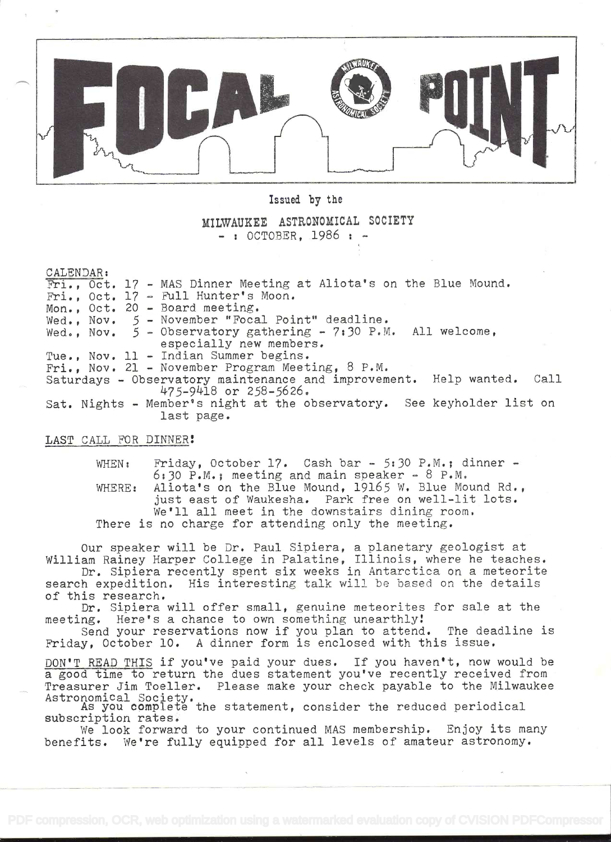

Issued by the

MILWAUKEE AZTRONOMICAL SOCIETY  $-$ : OCTOBER. 1986 :

CALENDAR:

| Fri., Oct. 17 - MAS Dinner Meeting at Aliota's on the Blue Mound.      |
|------------------------------------------------------------------------|
| Fri., Oct. 17 - Full Hunter's Moon.                                    |
| Mon., Oct. 20 - Board meeting.                                         |
| Wed., Nov. 5 - November "Focal Point" deadline.                        |
| Wed., Nov. $5$ - Observatory gathering - 7:30 P.M. All welcome,        |
| especially new members.                                                |
| Tue., Nov. 11 - Indian Summer begins.                                  |
| Fri., Nov. 21 - November Program Meeting, 8 P.M.                       |
| Saturdays - Observatory maintenance and improvement. Help wanted. Call |
| 475-9418 or 258-5626.                                                  |
| Sat. Nights - Member's night at the observatory. See keyholder list on |
| last page.                                                             |

LAST CALL FOR DINNER!

WHEN: Friday, October 17. Cash bar - 5:30 P.M.; dinner - $6:30$  P.M.; meeting and main speaker - 8 P.M. WHERE: Aliota's on the Blue Mound, 19165 W. Blue Mound Rd., just east of Waukesha. Park free on well-lit lots, We'll all meet in the downstairs dining room, There is no charge for attending only the meeting.

Our speaker will be Dr. Paul Sipiera, a planetary geologist at William Rainey Harper College in Palatine, Illinois, where he teaches.

Dr. Sipiera recently spent six weeks in Antarctica on a meteorite search expedition. His interesting talk will be based on the details of this research.

Dr. Sipiera will offer small, genuine meteorites for sale at the meeting. Here's a chance to own something unearthly

Send your reservations now if' you plan to attend, The deadline is Friday, October 10. A dinner form is enclosed with this issue.

DON'T READ THIS if you've paid your dues. If you haven't, now would be a good time to return the dues statement you've recently received from Treasurer Jim Toeller. Please make your check payable to the Milwaukee Astronomical Society.

As you complete the statement, consider the reduced periodical subscription rates.

We look forward to your continued MAS membership. Enjoy its many benefits. We're fully equipped for all levels of amateur astronomy.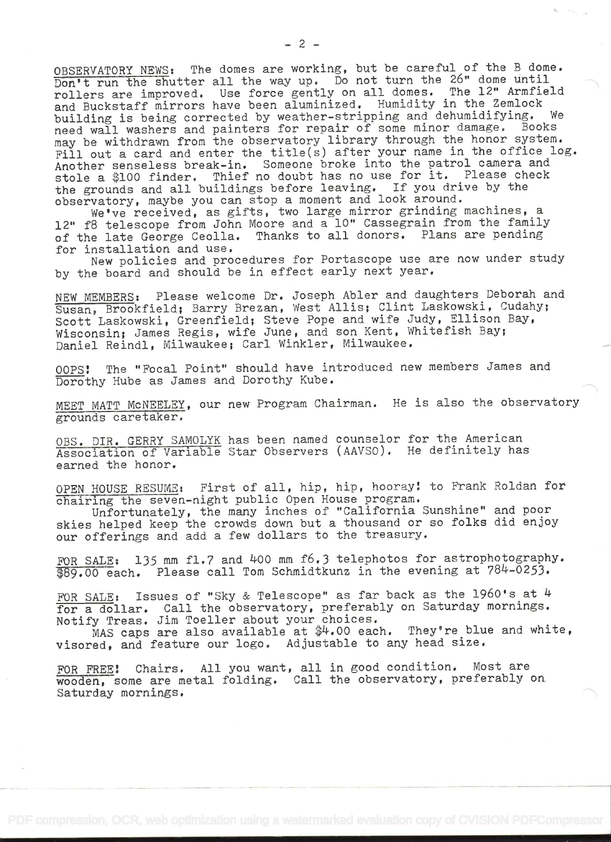OBSERVATORY NEWS: The domes are working, but be careful of the B dome. Don't run the shutter all the way up. Do not turn the 26" dome until rollers are improved. Use force gently on all domes. The 12" Armfield and Buckstaff mirrors have been aluminized. Humidity in the Zemlock building is being corrected by weather-stripping and dehumidifying. We need wall washers and painters for repair of some minor damage. Books may be withdrawn from the observatory library through the honor system. Fill out a card and enter the title(s) after your name in the office log. Another senseless break-in. Someone broke into the patrol camera and stole a \$100 finder. Thief no doubt has no use for it. Please check the grounds and all buildings before leaving. If you drive by the observatory, maybe you can stop a moment and look around.

We've received, as gifts, two large mirror grinding machines, a 12" f8 telescope from John Moore and a 10" Cassegrain from the family of the late George Ceolla. Thanks to all donors. Plans are pending for installation and use.

New policies and procedures for Portascope use are now under study by the board and should be in effect early next year.

NEW MEMBERS: Please welcome Dr. Joseph Abler and daughters Deborah and Susan, Brookfield; Barry Brezan, West Allis; Clint Laskowski, Cudahy; Scott Laskowski, Greenfield; Steve Pope and wife Judy, Ellison Bay, Wisconsin; James Regis, wife June, and son Kent, Whitefish Bay; Daniel Reindi, Milwaukee; Carl Winkler, Milwaukee.

OOPS! The "Focal Point" should have introduced new members James and Dorothy Hube as James and Dorothy Kube.

MEET MATT MCNEELEY, our new Program Chairman. He is also the observatory grounds caretaker.

OBS. DIR, GERRY SAMOLYK has been named counselor for the American Association of Variable Star Observers (AAVSO), He definitely has earned the honor.

OPEN HOUSE RESUME: First of all, hip, hip, hooray! to Frank Roldan for chairing the seven-night public Open House program.

Unfortunately, the many inches of "California Sunshine" and poor skies helped keep the crowds down but a thousand or so folks did enjoy our offerings and add a few dollars to the treasury.

FOR SALE: 135 mm fl.7 and 400 mm f6.3 telephotos for astrophotography. \$89.00 each. Please call Tom Schmidtkunz in the evening at 784-0253.

FOR SALE: Issues of "Sky & Telescope" as far back as the 1960's at  $4$ l'or a dollar. Call the observatory, preferably on Saturday mornings. Notify Treas. Jim Toeller about your choices.

MAS caps are also available at \$4.00 each. They're blue and white, visored, and feature our logo. Adjustable to any head size.

FOR FREE! Chairs. All you want, all in good condition. Most are wooden, some are metal folding. Call the observatory, preferably on Saturday mornings.